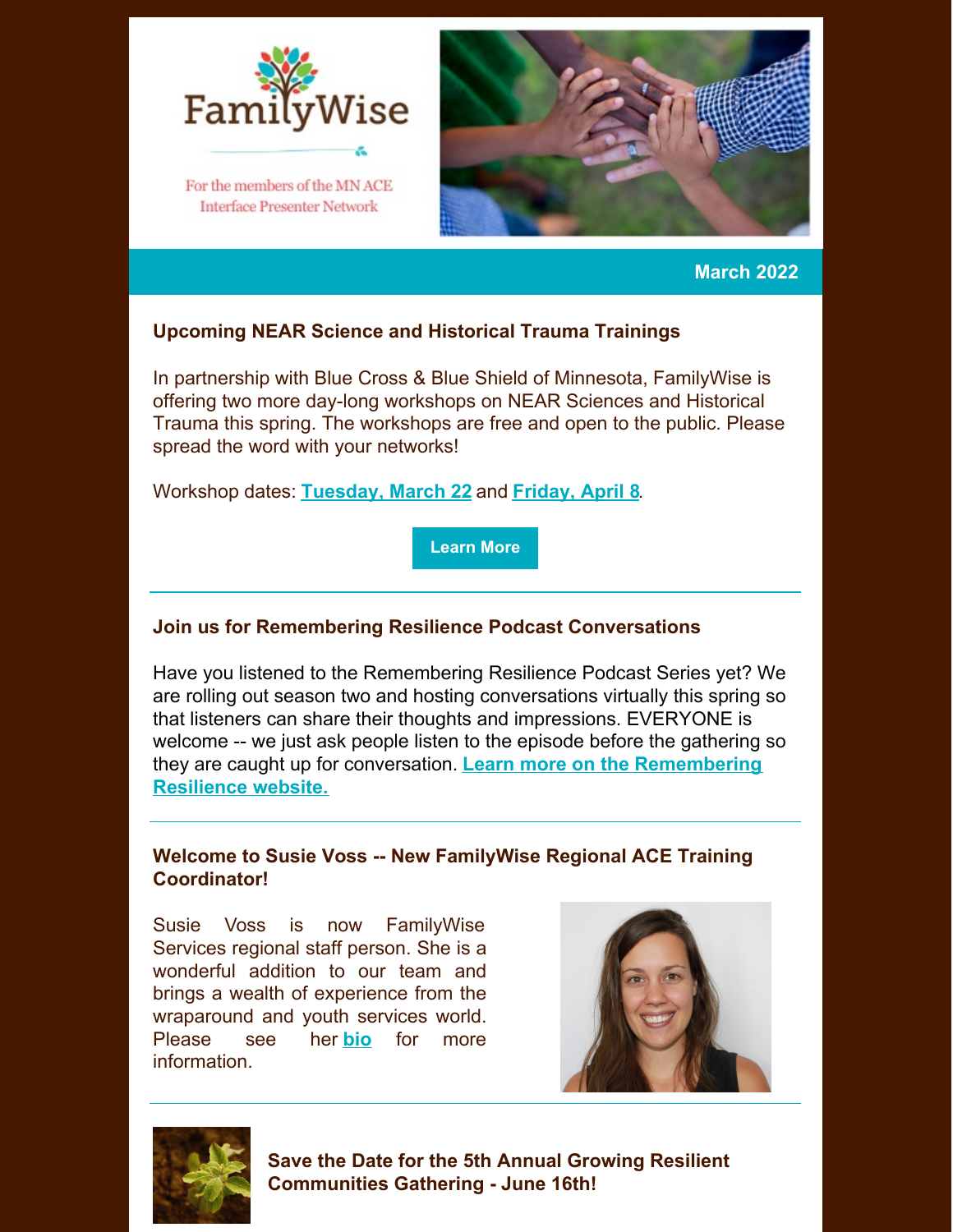

**Interface Presenter Network** 



**March 2022**

# **Upcoming NEAR Science and Historical Trauma Trainings**

In partnership with Blue Cross & Blue Shield of Minnesota, FamilyWise is offering two more day-long workshops on NEAR Sciences and Historical Trauma this spring. The workshops are free and open to the public. Please spread the word with your networks!

Workshop dates: **[Tuesday,](https://www.eventbrite.com/e/march-2022-understanding-near-science-historical-trauma-workshop-tickets-228855832957) March 22** and **[Friday,](https://www.eventbrite.com/e/april-2022-understanding-near-science-historical-trauma-workshop-tickets-228855993437) April 8**.

**[Learn](https://familywiseservices.org/understanding-near-science-and-historical-trauma-free-workshop-coming-in-2022/) More**

# **Join us for Remembering Resilience Podcast Conversations**

Have you listened to the Remembering Resilience Podcast Series yet? We are rolling out season two and hosting conversations virtually this spring so that listeners can share their thoughts and impressions. EVERYONE is welcome -- we just ask people listen to the episode before the gathering so they are caught up for conversation. **Learn more on the [Remembering](https://rememberingresilience.home.blog/) Resilience website.**

# **Welcome to Susie Voss -- New FamilyWise Regional ACE Training Coordinator!**

Susie Voss is now FamilyWise Services regional staff person. She is a wonderful addition to our team and brings a wealth of experience from the wraparound and youth services world. Please see her **[bio](https://familywiseservices.org/fw-person/susie-voss/)** for more information.





**Save the Date for the 5th Annual Growing Resilient Communities Gathering - June 16th!**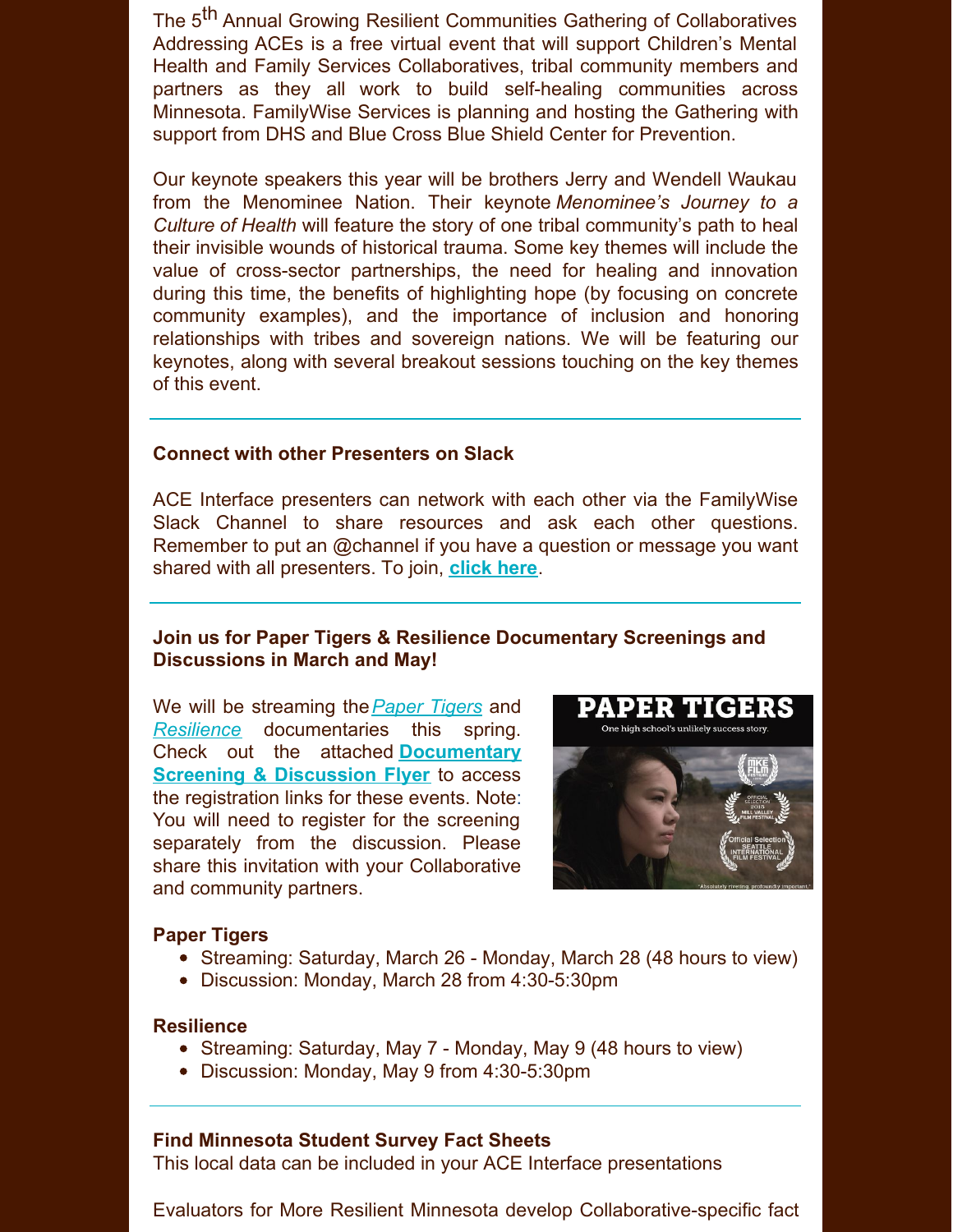The 5<sup>th</sup> Annual Growing Resilient Communities Gathering of Collaboratives Addressing ACEs is a free virtual event that will support Children's Mental Health and Family Services Collaboratives, tribal community members and partners as they all work to build self-healing communities across Minnesota. FamilyWise Services is planning and hosting the Gathering with support from DHS and Blue Cross Blue Shield Center for Prevention.

Our keynote speakers this year will be brothers Jerry and Wendell Waukau from the Menominee Nation. Their keynote *Menominee's Journey to a Culture of Health* will feature the story of one tribal community's path to heal their invisible wounds of historical trauma. Some key themes will include the value of cross-sector partnerships, the need for healing and innovation during this time, the benefits of highlighting hope (by focusing on concrete community examples), and the importance of inclusion and honoring relationships with tribes and sovereign nations. We will be featuring our keynotes, along with several breakout sessions touching on the key themes of this event.

## **Connect with other Presenters on Slack**

ACE Interface presenters can network with each other via the FamilyWise Slack Channel to share resources and ask each other questions. Remember to put an @channel if you have a question or message you want shared with all presenters. To join, **[click](https://familywiseservices.slack.com/join/shared_invite/zt-u9bp1opu-wMnH9pYJi5otgcKw0jeU1A#/shared-invite/email) here**.

## **Join us for Paper Tigers & Resilience Documentary Screenings and Discussions in March and May!**

We will be streaming the*[Paper](https://gcc02.safelinks.protection.outlook.com/?url=https%3A%2F%2Fkpjrfilms.co%2Fpaper-tigers%2F&data=04%7C01%7Cann.boerth%40state.mn.us%7Cdd43ded2649d4ba7c8bb08d9f53ab94e%7Ceb14b04624c445198f26b89c2159828c%7C0%7C0%7C637810456756199291%7CUnknown%7CTWFpbGZsb3d8eyJWIjoiMC4wLjAwMDAiLCJQIjoiV2luMzIiLCJBTiI6Ik1haWwiLCJXVCI6Mn0%3D%7C3000&sdata=ZxGuFuSjKGCXAGzUM%2FV7kbNaHY7qoYCSULR7T0YNzsE%3D&reserved=0) Tigers* and *[Resilience](https://gcc02.safelinks.protection.outlook.com/?url=https%3A%2F%2Fkpjrfilms.co%2Fresilience&data=04%7C01%7Cann.boerth%40state.mn.us%7Cdd43ded2649d4ba7c8bb08d9f53ab94e%7Ceb14b04624c445198f26b89c2159828c%7C0%7C0%7C637810456756199291%7CUnknown%7CTWFpbGZsb3d8eyJWIjoiMC4wLjAwMDAiLCJQIjoiV2luMzIiLCJBTiI6Ik1haWwiLCJXVCI6Mn0%3D%7C3000&sdata=vkXPaAy1tNaiuqBJWVC2mUR%2BtPDP20TWy3s%2FFVwz16o%3D&reserved=0)* documentaries this spring. Check out the attached **[Documentary](https://files.constantcontact.com/e5bb8d8c001/52c15724-d6dc-4445-ba1b-5d51d9e7cdbe.pdf?rdr=true) Screening & Discussion Flyer** to access the registration links for these events. Note: You will need to register for the screening separately from the discussion. Please share this invitation with your Collaborative and community partners.



#### **Paper Tigers**

- Streaming: Saturday, March 26 Monday, March 28 (48 hours to view)
- Discussion: Monday, March 28 from 4:30-5:30pm

### **Resilience**

- Streaming: Saturday, May 7 Monday, May 9 (48 hours to view)
- Discussion: Monday, May 9 from 4:30-5:30pm

### **Find Minnesota Student Survey Fact Sheets**

This local data can be included in your ACE Interface presentations

Evaluators for More Resilient Minnesota develop Collaborative-specific fact